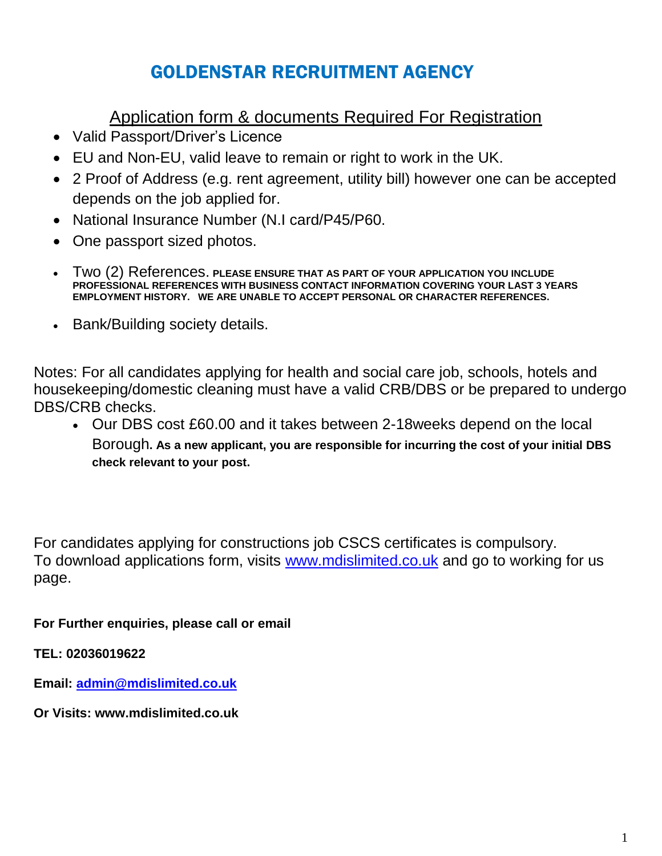# GOLDENSTAR RECRUITMENT AGENCY

# Application form & documents Required For Registration

- Valid Passport/Driver's Licence
- EU and Non-EU, valid leave to remain or right to work in the UK.
- 2 Proof of Address (e.g. rent agreement, utility bill) however one can be accepted depends on the job applied for.
- National Insurance Number (N.I card/P45/P60.
- One passport sized photos.
- Two (2) References. **PLEASE ENSURE THAT AS PART OF YOUR APPLICATION YOU INCLUDE PROFESSIONAL REFERENCES WITH BUSINESS CONTACT INFORMATION COVERING YOUR LAST 3 YEARS EMPLOYMENT HISTORY. WE ARE UNABLE TO ACCEPT PERSONAL OR CHARACTER REFERENCES.**
- Bank/Building society details.

Notes: For all candidates applying for health and social care job, schools, hotels and housekeeping/domestic cleaning must have a valid CRB/DBS or be prepared to undergo DBS/CRB checks.

 Our DBS cost £60.00 and it takes between 2-18weeks depend on the local Borough**. As a new applicant, you are responsible for incurring the cost of your initial DBS check relevant to your post.**

For candidates applying for constructions job CSCS certificates is compulsory. To download applications form, visits [www.mdislimited.co.uk](http://www.mdislimited.co.uk/) and go to working for us page.

**For Further enquiries, please call or email**

**TEL: 02036019622**

**Email: [admin@mdislimited.co.uk](mailto:admin@mdislimited.co.uk)**

**Or Visits: www.mdislimited.co.uk**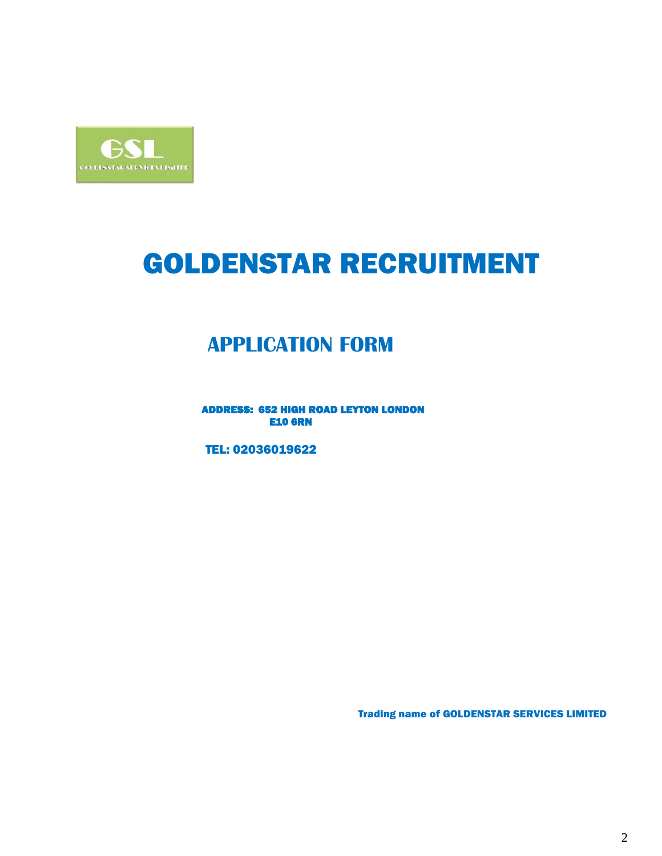

# GOLDENSTAR RECRUITMENT

# **APPLICATION FORM**

 ADDRESS: 652 HIGH ROAD LEYTON LONDON **E10 6RN** 

TEL: 02036019622

Trading name of GOLDENSTAR SERVICES LIMITED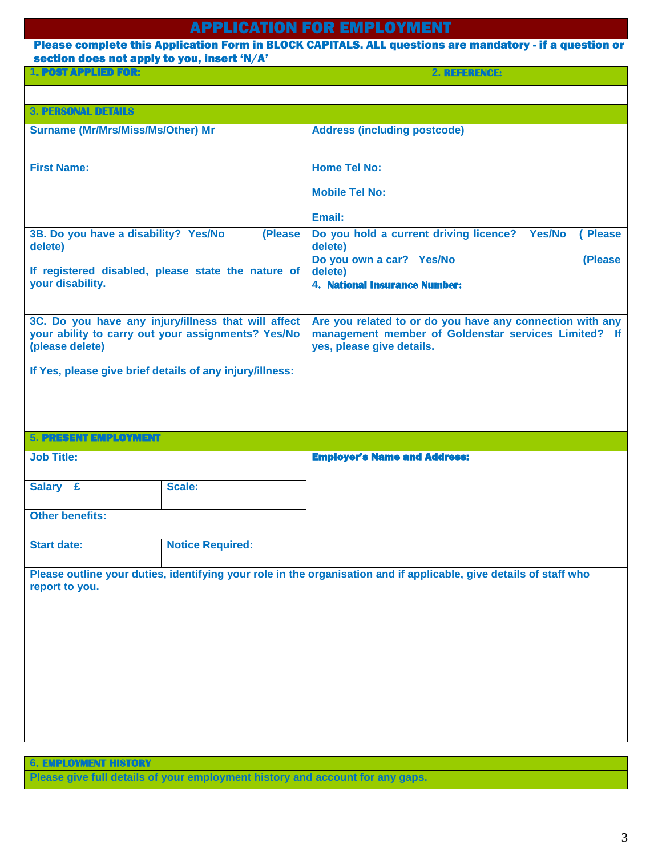# APPLICATION FOR EMPLOYMENT

## Please complete this Application Form in BLOCK CAPITALS. ALL questions are mandatory - if a question or section does not apply to you, insert 'N/A'

| <b>1. POST APPLIED FOR:</b> |  |
|-----------------------------|--|

**1**. POST APPLIED FOR: **2. REFERENCE:**

| <b>3. PERSONAL DETAILS</b>               |                                                          |                                                                                                                    |  |
|------------------------------------------|----------------------------------------------------------|--------------------------------------------------------------------------------------------------------------------|--|
| <b>Surname (Mr/Mrs/Miss/Ms/Other) Mr</b> |                                                          | <b>Address (including postcode)</b>                                                                                |  |
|                                          |                                                          |                                                                                                                    |  |
| <b>First Name:</b>                       |                                                          | <b>Home Tel No:</b>                                                                                                |  |
|                                          |                                                          |                                                                                                                    |  |
|                                          |                                                          | <b>Mobile Tel No:</b>                                                                                              |  |
|                                          |                                                          | Email:                                                                                                             |  |
| 3B. Do you have a disability? Yes/No     | (Please                                                  | Do you hold a current driving licence? Yes/No<br>(Please                                                           |  |
| delete)                                  |                                                          | delete)                                                                                                            |  |
|                                          | If registered disabled, please state the nature of       | Do you own a car? Yes/No<br>(Please<br>delete)                                                                     |  |
| your disability.                         |                                                          | 4. National Insurance Number:                                                                                      |  |
|                                          |                                                          |                                                                                                                    |  |
|                                          | 3C. Do you have any injury/illness that will affect      | Are you related to or do you have any connection with any                                                          |  |
|                                          | your ability to carry out your assignments? Yes/No       | management member of Goldenstar services Limited? If                                                               |  |
| (please delete)                          |                                                          | yes, please give details.                                                                                          |  |
|                                          | If Yes, please give brief details of any injury/illness: |                                                                                                                    |  |
|                                          |                                                          |                                                                                                                    |  |
|                                          |                                                          |                                                                                                                    |  |
|                                          |                                                          |                                                                                                                    |  |
| <b>5. PRESENT EMPLOYMENT</b>             |                                                          |                                                                                                                    |  |
| <b>Job Title:</b>                        |                                                          | <b>Employer's Name and Address:</b>                                                                                |  |
|                                          |                                                          |                                                                                                                    |  |
| Salary £                                 | Scale:                                                   |                                                                                                                    |  |
|                                          |                                                          |                                                                                                                    |  |
| <b>Other benefits:</b>                   |                                                          |                                                                                                                    |  |
|                                          |                                                          |                                                                                                                    |  |
| <b>Start date:</b>                       | <b>Notice Required:</b>                                  |                                                                                                                    |  |
|                                          |                                                          | Please outline your duties, identifying your role in the organisation and if applicable, give details of staff who |  |
| report to you.                           |                                                          |                                                                                                                    |  |
|                                          |                                                          |                                                                                                                    |  |
|                                          |                                                          |                                                                                                                    |  |
|                                          |                                                          |                                                                                                                    |  |
|                                          |                                                          |                                                                                                                    |  |
|                                          |                                                          |                                                                                                                    |  |
|                                          |                                                          |                                                                                                                    |  |
|                                          |                                                          |                                                                                                                    |  |
|                                          |                                                          |                                                                                                                    |  |
|                                          |                                                          |                                                                                                                    |  |

**6. EMPLOYMENT HISTORY**

**Please give full details of your employment history and account for any gaps.**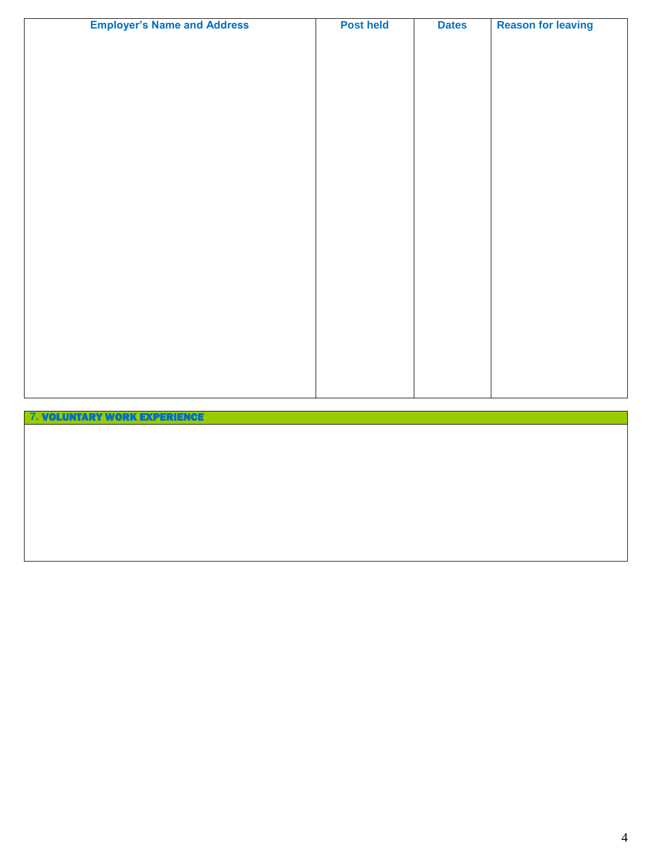| <b>Employer's Name and Address</b> | <b>Post held</b> | <b>Dates</b> | <b>Reason for leaving</b> |
|------------------------------------|------------------|--------------|---------------------------|
|                                    |                  |              |                           |
|                                    |                  |              |                           |
|                                    |                  |              |                           |
|                                    |                  |              |                           |
|                                    |                  |              |                           |
|                                    |                  |              |                           |
|                                    |                  |              |                           |
|                                    |                  |              |                           |
|                                    |                  |              |                           |
|                                    |                  |              |                           |
|                                    |                  |              |                           |
|                                    |                  |              |                           |
|                                    |                  |              |                           |
|                                    |                  |              |                           |
|                                    |                  |              |                           |
|                                    |                  |              |                           |
|                                    |                  |              |                           |
|                                    |                  |              |                           |
|                                    |                  |              |                           |
|                                    |                  |              |                           |
|                                    |                  |              |                           |

# **7.** VOLUNTARY WORK EXPERIENCE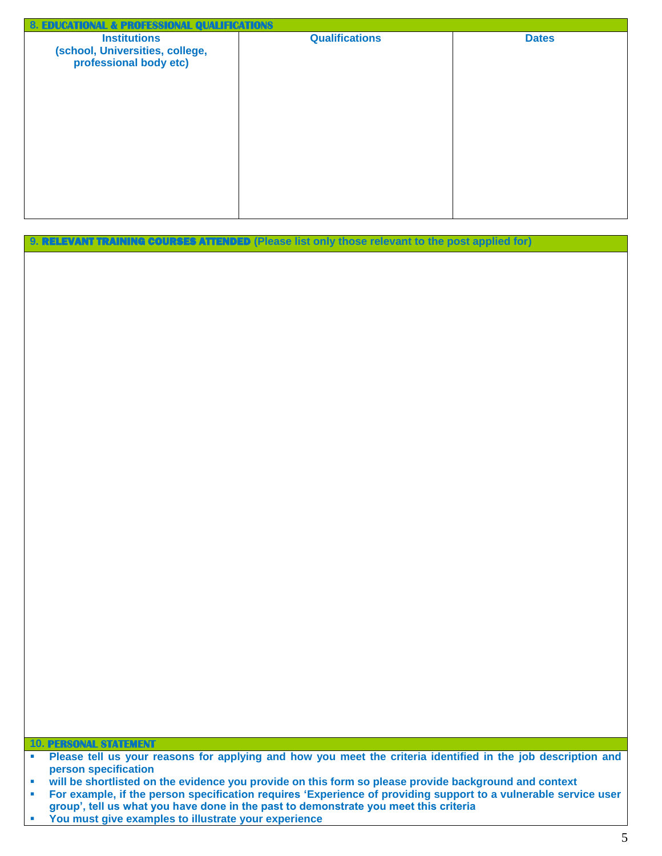| <b>8. EDUCATIONAL &amp; PROFESSIONAL QUALIFICATIONS</b>                          |                       |              |
|----------------------------------------------------------------------------------|-----------------------|--------------|
| <b>Institutions</b><br>(school, Universities, college,<br>professional body etc) | <b>Qualifications</b> | <b>Dates</b> |
|                                                                                  |                       |              |

| 9. RELEVANT TRAINING COURSES ATTENDED (Please list only those relevant to the post applied for) |
|-------------------------------------------------------------------------------------------------|
|-------------------------------------------------------------------------------------------------|

**10. PERSONAL STATEMENT**

**You must give examples to illustrate your experience**

**Please tell us your reasons for applying and how you meet the criteria identified in the job description and person specification**

**will be shortlisted on the evidence you provide on this form so please provide background and context** 

**For example, if the person specification requires 'Experience of providing support to a vulnerable service user group', tell us what you have done in the past to demonstrate you meet this criteria**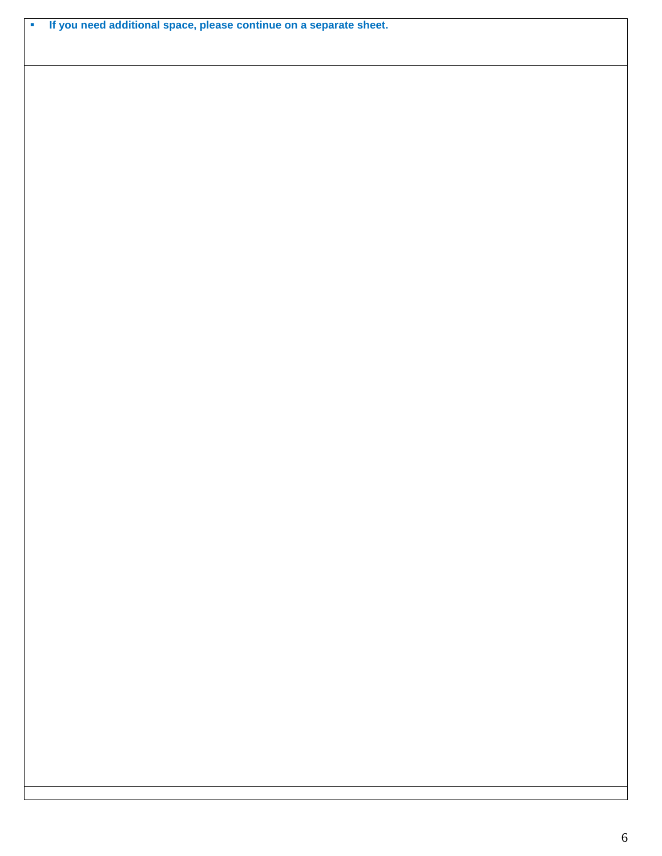**If you need additional space, please continue on a separate sheet.**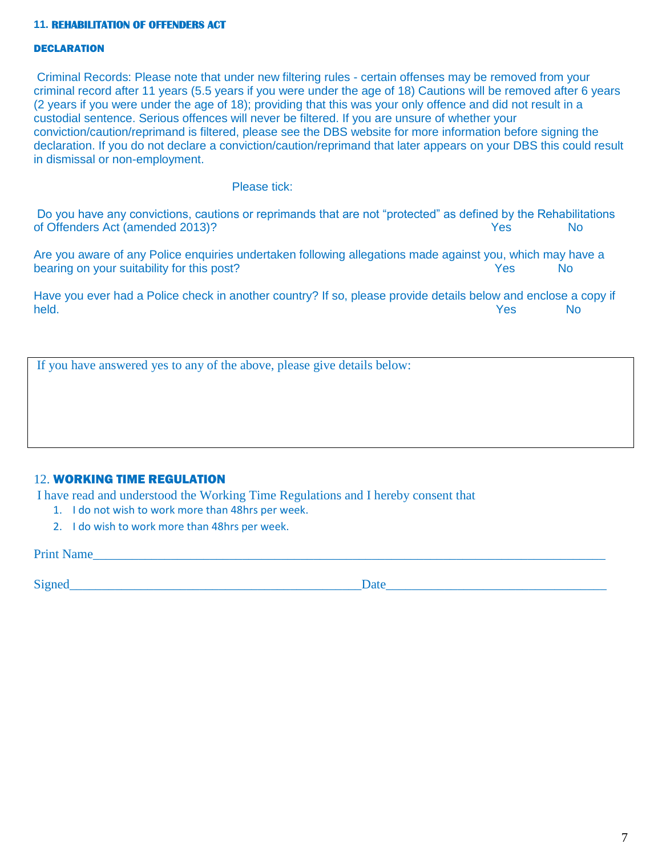### **11. REHABILlTATION OF OFFENDERS ACT**

### **DECLARATION**

Criminal Records: Please note that under new filtering rules - certain offenses may be removed from your criminal record after 11 years (5.5 years if you were under the age of 18) Cautions will be removed after 6 years (2 years if you were under the age of 18); providing that this was your only offence and did not result in a custodial sentence. Serious offences will never be filtered. If you are unsure of whether your conviction/caution/reprimand is filtered, please see the DBS website for more information before signing the declaration. If you do not declare a conviction/caution/reprimand that later appears on your DBS this could result in dismissal or non-employment.

### Please tick:

Do you have any convictions, cautions or reprimands that are not "protected" as defined by the Rehabilitations of Offenders Act (amended 2013)? The North State of December 2013) and the North State of North State and North State of North State and North State and North State and North State and North State and North State and North

Are you aware of any Police enquiries undertaken following allegations made against you, which may have a bearing on your suitability for this post? The North State of North State of North State of North State of North State of North State of North State of North State of North State of North State of North State of North Stat

Have you ever had a Police check in another country? If so, please provide details below and enclose a copy if held. Yes No

If you have answered yes to any of the above, please give details below:

### 12. WORKING TIME REGULATION

I have read and understood the Working Time Regulations and I hereby consent that

- 1. I do not wish to work more than 48hrs per week.
- 2. I do wish to work more than 48hrs per week.

Print Name

Signed Date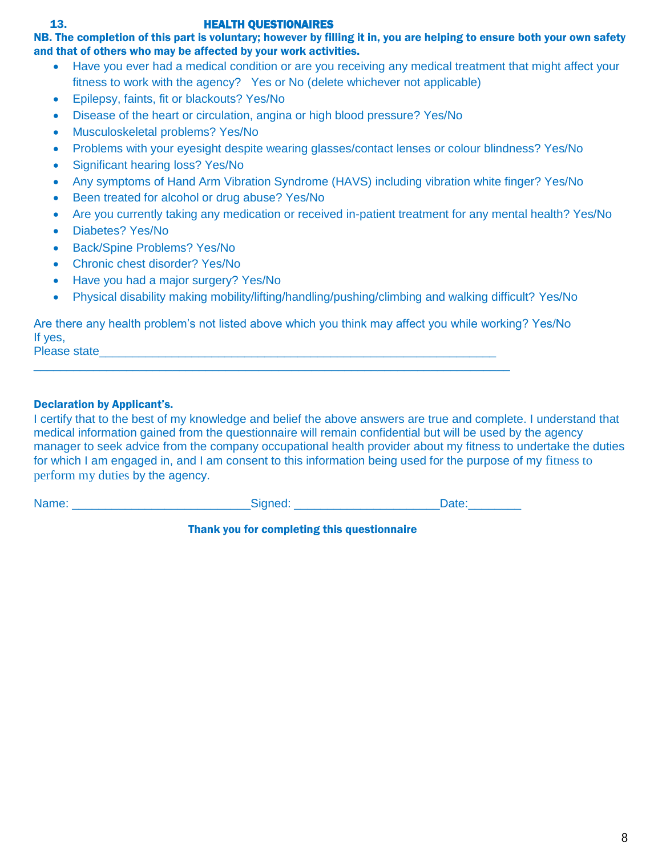### 13. HEALTH QUESTIONAIRES

NB. The completion of this part is voluntary; however by filling it in, you are helping to ensure both your own safety and that of others who may be affected by your work activities.

- Have you ever had a medical condition or are you receiving any medical treatment that might affect your fitness to work with the agency? Yes or No (delete whichever not applicable)
- Epilepsy, faints, fit or blackouts? Yes/No
- Disease of the heart or circulation, angina or high blood pressure? Yes/No
- Musculoskeletal problems? Yes/No
- Problems with your eyesight despite wearing glasses/contact lenses or colour blindness? Yes/No
- Significant hearing loss? Yes/No
- Any symptoms of Hand Arm Vibration Syndrome (HAVS) including vibration white finger? Yes/No
- Been treated for alcohol or drug abuse? Yes/No
- Are you currently taking any medication or received in-patient treatment for any mental health? Yes/No
- Diabetes? Yes/No
- Back/Spine Problems? Yes/No
- Chronic chest disorder? Yes/No
- Have you had a major surgery? Yes/No
- Physical disability making mobility/lifting/handling/pushing/climbing and walking difficult? Yes/No

Are there any health problem's not listed above which you think may affect you while working? Yes/No If yes,

 $\_$  , and the set of the set of the set of the set of the set of the set of the set of the set of the set of the set of the set of the set of the set of the set of the set of the set of the set of the set of the set of th

Please state

Name:  $\Box$ 

### Declaration by Applicant's.

I certify that to the best of my knowledge and belief the above answers are true and complete. I understand that medical information gained from the questionnaire will remain confidential but will be used by the agency manager to seek advice from the company occupational health provider about my fitness to undertake the duties for which I am engaged in, and I am consent to this information being used for the purpose of my fitness to perform my duties by the agency.

| Signed: | Date: |
|---------|-------|
|         |       |

Thank you for completing this questionnaire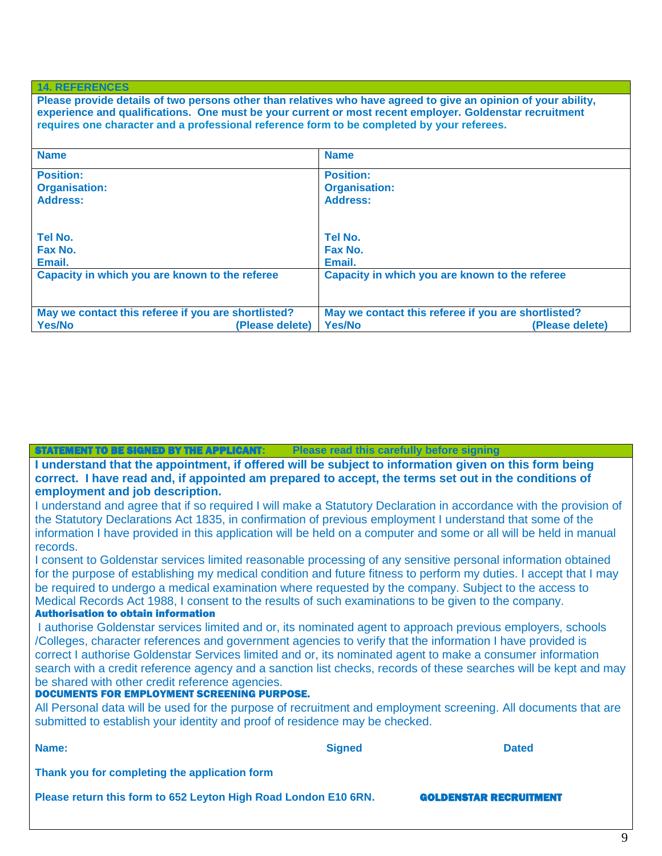### **14. REFERENCES**

**Please provide details of two persons other than relatives who have agreed to give an opinion of your ability, experience and qualifications. One must be your current or most recent employer. Goldenstar recruitment requires one character and a professional reference form to be completed by your referees.**

| <b>Name</b>                                         | <b>Name</b>                                         |  |
|-----------------------------------------------------|-----------------------------------------------------|--|
| <b>Position:</b>                                    | <b>Position:</b>                                    |  |
| <b>Organisation:</b>                                | <b>Organisation:</b>                                |  |
| <b>Address:</b>                                     | <b>Address:</b>                                     |  |
|                                                     |                                                     |  |
|                                                     | Tel No.                                             |  |
| Tel No.                                             |                                                     |  |
| Fax No.                                             | Fax No.                                             |  |
| Email.                                              | Email.                                              |  |
| Capacity in which you are known to the referee      | Capacity in which you are known to the referee      |  |
|                                                     |                                                     |  |
| May we contact this referee if you are shortlisted? | May we contact this referee if you are shortlisted? |  |
| <b>Yes/No</b><br>(Please delete)                    | <b>Yes/No</b><br>(Please delete)                    |  |

### **Please read this carefully before signing**

**I understand that the appointment, if offered will be subject to information given on this form being correct. I have read and, if appointed am prepared to accept, the terms set out in the conditions of employment and job description.**

I understand and agree that if so required I will make a Statutory Declaration in accordance with the provision of the Statutory Declarations Act 1835, in confirmation of previous employment I understand that some of the information I have provided in this application will be held on a computer and some or all will be held in manual records.

I consent to Goldenstar services limited reasonable processing of any sensitive personal information obtained for the purpose of establishing my medical condition and future fitness to perform my duties. I accept that I may be required to undergo a medical examination where requested by the company. Subject to the access to Medical Records Act 1988, I consent to the results of such examinations to be given to the company. Authorisation to obtain information

I authorise Goldenstar services limited and or, its nominated agent to approach previous employers, schools /Colleges, character references and government agencies to verify that the information I have provided is correct I authorise Goldenstar Services limited and or, its nominated agent to make a consumer information search with a credit reference agency and a sanction list checks, records of these searches will be kept and may be shared with other credit reference agencies.

### DOCUMENTS FOR EMPLOYMENT SCREENING PURPOSE.

All Personal data will be used for the purpose of recruitment and employment screening. All documents that are submitted to establish your identity and proof of residence may be checked.

| Name:                                                           | <b>Signed</b> | <b>Dated</b>                  |  |
|-----------------------------------------------------------------|---------------|-------------------------------|--|
| Thank you for completing the application form                   |               |                               |  |
| Please return this form to 652 Leyton High Road London E10 6RN. |               | <b>GOLDENSTAR RECRUITMENT</b> |  |